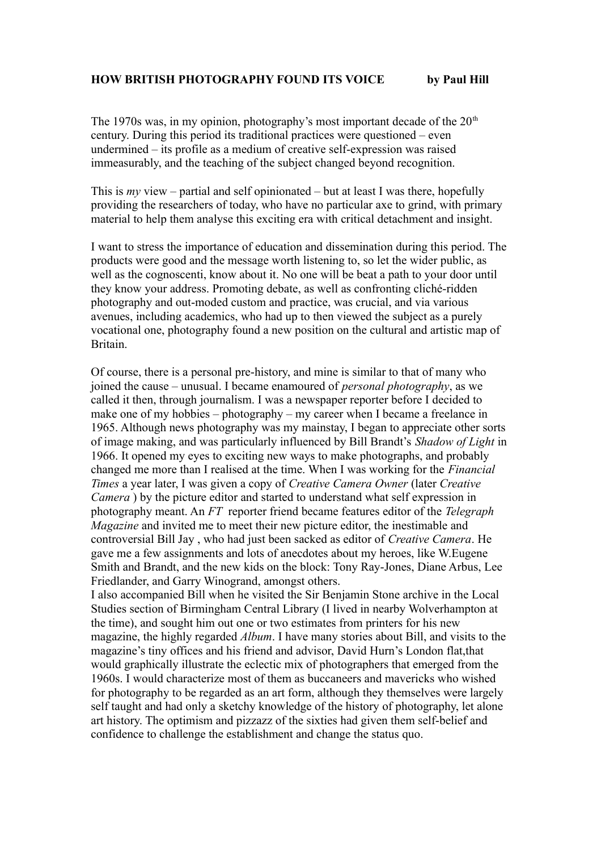The 1970s was, in my opinion, photography's most important decade of the  $20<sup>th</sup>$ century. During this period its traditional practices were questioned – even undermined – its profile as a medium of creative self-expression was raised immeasurably, and the teaching of the subject changed beyond recognition.

This is *my* view – partial and self opinionated – but at least I was there, hopefully providing the researchers of today, who have no particular axe to grind, with primary material to help them analyse this exciting era with critical detachment and insight.

I want to stress the importance of education and dissemination during this period. The products were good and the message worth listening to, so let the wider public, as well as the cognoscenti, know about it. No one will be beat a path to your door until they know your address. Promoting debate, as well as confronting cliché-ridden photography and out-moded custom and practice, was crucial, and via various avenues, including academics, who had up to then viewed the subject as a purely vocational one, photography found a new position on the cultural and artistic map of Britain.

Of course, there is a personal pre-history, and mine is similar to that of many who joined the cause – unusual. I became enamoured of *personal photography*, as we called it then, through journalism. I was a newspaper reporter before I decided to make one of my hobbies – photography – my career when I became a freelance in 1965. Although news photography was my mainstay, I began to appreciate other sorts of image making, and was particularly influenced by Bill Brandt's *Shadow of Light* in 1966. It opened my eyes to exciting new ways to make photographs, and probably changed me more than I realised at the time. When I was working for the *Financial Times* a year later, I was given a copy of *Creative Camera Owner* (later *Creative Camera* ) by the picture editor and started to understand what self expression in photography meant. An *FT* reporter friend became features editor of the *Telegraph Magazine* and invited me to meet their new picture editor, the inestimable and controversial Bill Jay , who had just been sacked as editor of *Creative Camera*. He gave me a few assignments and lots of anecdotes about my heroes, like W.Eugene Smith and Brandt, and the new kids on the block: Tony Ray-Jones, Diane Arbus, Lee Friedlander, and Garry Winogrand, amongst others.

I also accompanied Bill when he visited the Sir Benjamin Stone archive in the Local Studies section of Birmingham Central Library (I lived in nearby Wolverhampton at the time), and sought him out one or two estimates from printers for his new magazine, the highly regarded *Album*. I have many stories about Bill, and visits to the magazine's tiny offices and his friend and advisor, David Hurn's London flat,that would graphically illustrate the eclectic mix of photographers that emerged from the 1960s. I would characterize most of them as buccaneers and mavericks who wished for photography to be regarded as an art form, although they themselves were largely self taught and had only a sketchy knowledge of the history of photography, let alone art history. The optimism and pizzazz of the sixties had given them self-belief and confidence to challenge the establishment and change the status quo.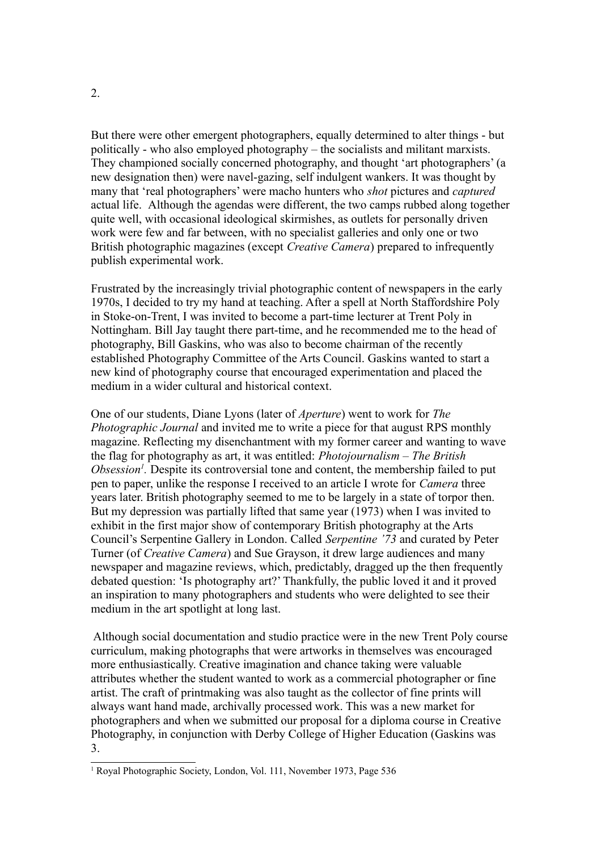But there were other emergent photographers, equally determined to alter things - but politically - who also employed photography – the socialists and militant marxists. They championed socially concerned photography, and thought 'art photographers' (a new designation then) were navel-gazing, self indulgent wankers. It was thought by many that 'real photographers' were macho hunters who *shot* pictures and *captured* actual life.Although the agendas were different, the two camps rubbed along together quite well, with occasional ideological skirmishes, as outlets for personally driven work were few and far between, with no specialist galleries and only one or two British photographic magazines (except *Creative Camera*) prepared to infrequently publish experimental work.

Frustrated by the increasingly trivial photographic content of newspapers in the early 1970s, I decided to try my hand at teaching. After a spell at North Staffordshire Poly in Stoke-on-Trent, I was invited to become a part-time lecturer at Trent Poly in Nottingham. Bill Jay taught there part-time, and he recommended me to the head of photography, Bill Gaskins, who was also to become chairman of the recently established Photography Committee of the Arts Council. Gaskins wanted to start a new kind of photography course that encouraged experimentation and placed the medium in a wider cultural and historical context.

One of our students, Diane Lyons (later of *Aperture*) went to work for *The Photographic Journal* and invited me to write a piece for that august RPS monthly magazine. Reflecting my disenchantment with my former career and wanting to wave the flag for photography as art, it was entitled: *Photojournalism – The British Obsession[1](#page-1-0) .* Despite its controversial tone and content, the membership failed to put pen to paper, unlike the response I received to an article I wrote for *Camera* three years later. British photography seemed to me to be largely in a state of torpor then. But my depression was partially lifted that same year (1973) when I was invited to exhibit in the first major show of contemporary British photography at the Arts Council's Serpentine Gallery in London. Called *Serpentine '73* and curated by Peter Turner (of *Creative Camera*) and Sue Grayson, it drew large audiences and many newspaper and magazine reviews, which, predictably, dragged up the then frequently debated question: 'Is photography art?' Thankfully, the public loved it and it proved an inspiration to many photographers and students who were delighted to see their medium in the art spotlight at long last.

 Although social documentation and studio practice were in the new Trent Poly course curriculum, making photographs that were artworks in themselves was encouraged more enthusiastically. Creative imagination and chance taking were valuable attributes whether the student wanted to work as a commercial photographer or fine artist. The craft of printmaking was also taught as the collector of fine prints will always want hand made, archivally processed work. This was a new market for photographers and when we submitted our proposal for a diploma course in Creative Photography, in conjunction with Derby College of Higher Education (Gaskins was 3.

<span id="page-1-0"></span><sup>&</sup>lt;sup>1</sup> Royal Photographic Society, London, Vol. 111, November 1973, Page 536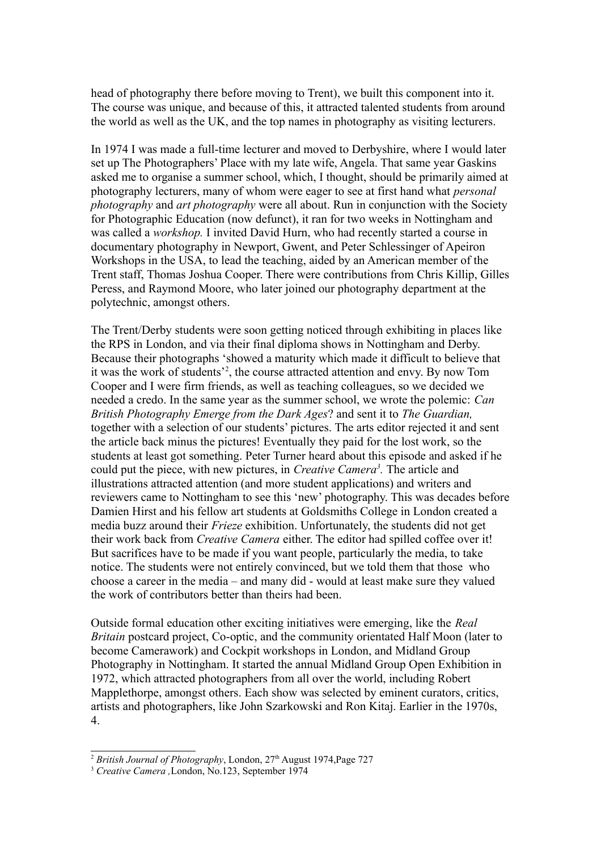head of photography there before moving to Trent), we built this component into it. The course was unique, and because of this, it attracted talented students from around the world as well as the UK, and the top names in photography as visiting lecturers.

In 1974 I was made a full-time lecturer and moved to Derbyshire, where I would later set up The Photographers' Place with my late wife, Angela. That same year Gaskins asked me to organise a summer school, which, I thought, should be primarily aimed at photography lecturers, many of whom were eager to see at first hand what *personal photography* and *art photography* were all about. Run in conjunction with the Society for Photographic Education (now defunct), it ran for two weeks in Nottingham and was called a *workshop.* I invited David Hurn, who had recently started a course in documentary photography in Newport, Gwent, and Peter Schlessinger of Apeiron Workshops in the USA, to lead the teaching, aided by an American member of the Trent staff, Thomas Joshua Cooper. There were contributions from Chris Killip, Gilles Peress, and Raymond Moore, who later joined our photography department at the polytechnic, amongst others.

The Trent/Derby students were soon getting noticed through exhibiting in places like the RPS in London, and via their final diploma shows in Nottingham and Derby. Because their photographs 'showed a maturity which made it difficult to believe that it was the work of students'[2](#page-2-0) , the course attracted attention and envy. By now Tom Cooper and I were firm friends, as well as teaching colleagues, so we decided we needed a credo. In the same year as the summer school, we wrote the polemic: *Can British Photography Emerge from the Dark Ages*? and sent it to *The Guardian,* together with a selection of our students' pictures. The arts editor rejected it and sent the article back minus the pictures! Eventually they paid for the lost work, so the students at least got something. Peter Turner heard about this episode and asked if he could put the piece, with new pictures, in *Creative Camera[3](#page-2-1) .* The article and illustrations attracted attention (and more student applications) and writers and reviewers came to Nottingham to see this 'new' photography. This was decades before Damien Hirst and his fellow art students at Goldsmiths College in London created a media buzz around their *Frieze* exhibition. Unfortunately, the students did not get their work back from *Creative Camera* either. The editor had spilled coffee over it! But sacrifices have to be made if you want people, particularly the media, to take notice. The students were not entirely convinced, but we told them that those who choose a career in the media – and many did - would at least make sure they valued the work of contributors better than theirs had been.

Outside formal education other exciting initiatives were emerging, like the *Real Britain* postcard project, Co-optic, and the community orientated Half Moon (later to become Camerawork) and Cockpit workshops in London, and Midland Group Photography in Nottingham. It started the annual Midland Group Open Exhibition in 1972, which attracted photographers from all over the world, including Robert Mapplethorpe, amongst others. Each show was selected by eminent curators, critics, artists and photographers, like John Szarkowski and Ron Kitaj. Earlier in the 1970s, 4.

<span id="page-2-0"></span><sup>&</sup>lt;sup>2</sup> *British Journal of Photography*, London, 27<sup>th</sup> August 1974, Page 727

<span id="page-2-1"></span><sup>3</sup> *Creative Camera ,*London, No.123, September 1974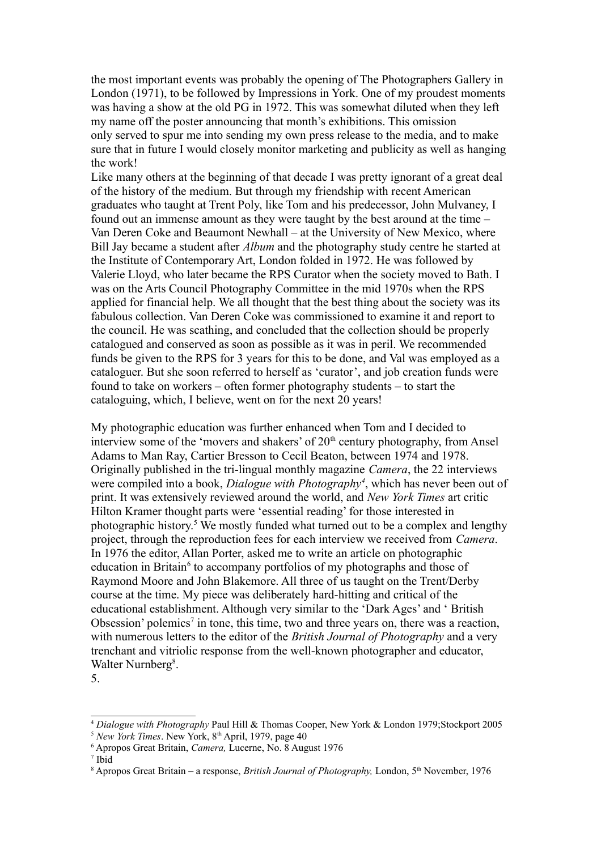the most important events was probably the opening of The Photographers Gallery in London (1971), to be followed by Impressions in York. One of my proudest moments was having a show at the old PG in 1972. This was somewhat diluted when they left my name off the poster announcing that month's exhibitions. This omission only served to spur me into sending my own press release to the media, and to make sure that in future I would closely monitor marketing and publicity as well as hanging the work!

Like many others at the beginning of that decade I was pretty ignorant of a great deal of the history of the medium. But through my friendship with recent American graduates who taught at Trent Poly, like Tom and his predecessor, John Mulvaney, I found out an immense amount as they were taught by the best around at the time – Van Deren Coke and Beaumont Newhall – at the University of New Mexico, where Bill Jay became a student after *Album* and the photography study centre he started at the Institute of Contemporary Art, London folded in 1972. He was followed by Valerie Lloyd, who later became the RPS Curator when the society moved to Bath. I was on the Arts Council Photography Committee in the mid 1970s when the RPS applied for financial help. We all thought that the best thing about the society was its fabulous collection. Van Deren Coke was commissioned to examine it and report to the council. He was scathing, and concluded that the collection should be properly catalogued and conserved as soon as possible as it was in peril. We recommended funds be given to the RPS for 3 years for this to be done, and Val was employed as a cataloguer. But she soon referred to herself as 'curator', and job creation funds were found to take on workers – often former photography students – to start the cataloguing, which, I believe, went on for the next 20 years!

My photographic education was further enhanced when Tom and I decided to interview some of the 'movers and shakers' of  $20<sup>th</sup>$  century photography, from Ansel Adams to Man Ray, Cartier Bresson to Cecil Beaton, between 1974 and 1978. Originally published in the tri-lingual monthly magazine *Camera*, the 22 interviews were compiled into a book, *Dialogue with Photography[4](#page-3-0)* , which has never been out of print. It was extensively reviewed around the world, and *New York Times* art critic Hilton Kramer thought parts were 'essential reading' for those interested in photographic history.<sup>[5](#page-3-1)</sup> We mostly funded what turned out to be a complex and lengthy project, through the reproduction fees for each interview we received from *Camera*. In 1976 the editor, Allan Porter, asked me to write an article on photographic education in Britain<sup>[6](#page-3-2)</sup> to accompany portfolios of my photographs and those of Raymond Moore and John Blakemore. All three of us taught on the Trent/Derby course at the time. My piece was deliberately hard-hitting and critical of the educational establishment. Although very similar to the 'Dark Ages' and ' British Obsession' polemics<sup>[7](#page-3-3)</sup> in tone, this time, two and three years on, there was a reaction, with numerous letters to the editor of the *British Journal of Photography* and a very trenchant and vitriolic response from the well-known photographer and educator, Walter Nurnberg<sup>[8](#page-3-4)</sup>.

<sup>5.</sup>

<span id="page-3-0"></span><sup>4</sup> *Dialogue with Photography* Paul Hill & Thomas Cooper, New York & London 1979;Stockport 2005  $5$  *New York Times*. New York,  $8<sup>th</sup>$  April, 1979, page 40

<span id="page-3-2"></span><span id="page-3-1"></span><sup>6</sup> Apropos Great Britain, *Camera,* Lucerne, No. 8 August 1976

<span id="page-3-3"></span><sup>7</sup> Ibid

<span id="page-3-4"></span><sup>&</sup>lt;sup>8</sup> Apropos Great Britain – a response, *British Journal of Photography*, London, 5<sup>th</sup> November, 1976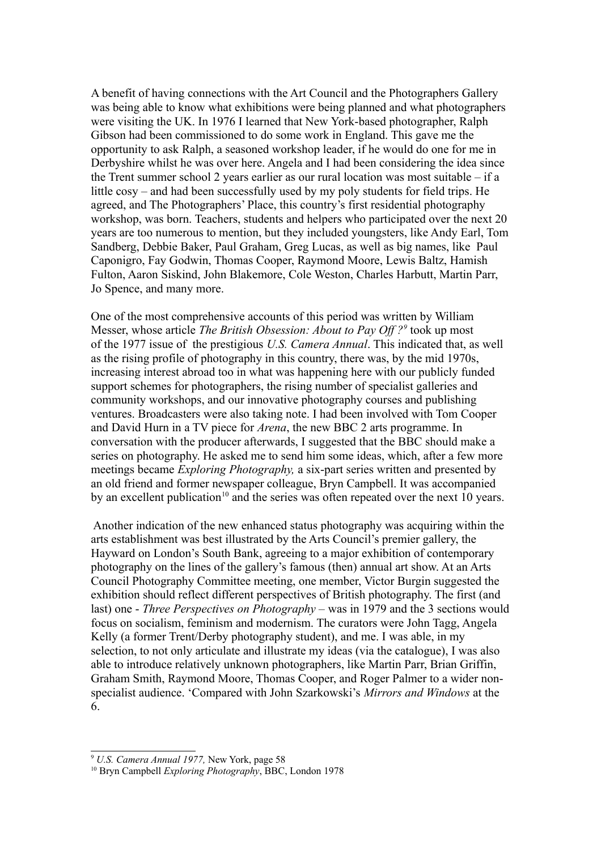A benefit of having connections with the Art Council and the Photographers Gallery was being able to know what exhibitions were being planned and what photographers were visiting the UK. In 1976 I learned that New York-based photographer, Ralph Gibson had been commissioned to do some work in England. This gave me the opportunity to ask Ralph, a seasoned workshop leader, if he would do one for me in Derbyshire whilst he was over here. Angela and I had been considering the idea since the Trent summer school 2 years earlier as our rural location was most suitable – if a little cosy – and had been successfully used by my poly students for field trips. He agreed, and The Photographers' Place, this country's first residential photography workshop, was born. Teachers, students and helpers who participated over the next 20 years are too numerous to mention, but they included youngsters, like Andy Earl, Tom Sandberg, Debbie Baker, Paul Graham, Greg Lucas, as well as big names, like Paul Caponigro, Fay Godwin, Thomas Cooper, Raymond Moore, Lewis Baltz, Hamish Fulton, Aaron Siskind, John Blakemore, Cole Weston, Charles Harbutt, Martin Parr, Jo Spence, and many more.

One of the most comprehensive accounts of this period was written by William Messer, whose article *The British Obsession: About to Pay Off ?[9](#page-4-0)* took up most of the 1977 issue of the prestigious *U.S. Camera Annual*. This indicated that, as well as the rising profile of photography in this country, there was, by the mid 1970s, increasing interest abroad too in what was happening here with our publicly funded support schemes for photographers, the rising number of specialist galleries and community workshops, and our innovative photography courses and publishing ventures. Broadcasters were also taking note. I had been involved with Tom Cooper and David Hurn in a TV piece for *Arena*, the new BBC 2 arts programme. In conversation with the producer afterwards, I suggested that the BBC should make a series on photography. He asked me to send him some ideas, which, after a few more meetings became *Exploring Photography,* a six-part series written and presented by an old friend and former newspaper colleague, Bryn Campbell. It was accompanied by an excellent publication<sup>[10](#page-4-1)</sup> and the series was often repeated over the next 10 years.

 Another indication of the new enhanced status photography was acquiring within the arts establishment was best illustrated by the Arts Council's premier gallery, the Hayward on London's South Bank, agreeing to a major exhibition of contemporary photography on the lines of the gallery's famous (then) annual art show. At an Arts Council Photography Committee meeting, one member, Victor Burgin suggested the exhibition should reflect different perspectives of British photography. The first (and last) one - *Three Perspectives on Photography –* was in 1979 and the 3 sections would focus on socialism, feminism and modernism. The curators were John Tagg, Angela Kelly (a former Trent/Derby photography student), and me. I was able, in my selection, to not only articulate and illustrate my ideas (via the catalogue), I was also able to introduce relatively unknown photographers, like Martin Parr, Brian Griffin, Graham Smith, Raymond Moore, Thomas Cooper, and Roger Palmer to a wider nonspecialist audience. 'Compared with John Szarkowski's *Mirrors and Windows* at the 6.

<span id="page-4-0"></span><sup>9</sup> *U.S. Camera Annual 1977,* New York, page 58

<span id="page-4-1"></span><sup>10</sup> Bryn Campbell *Exploring Photography*, BBC, London 1978